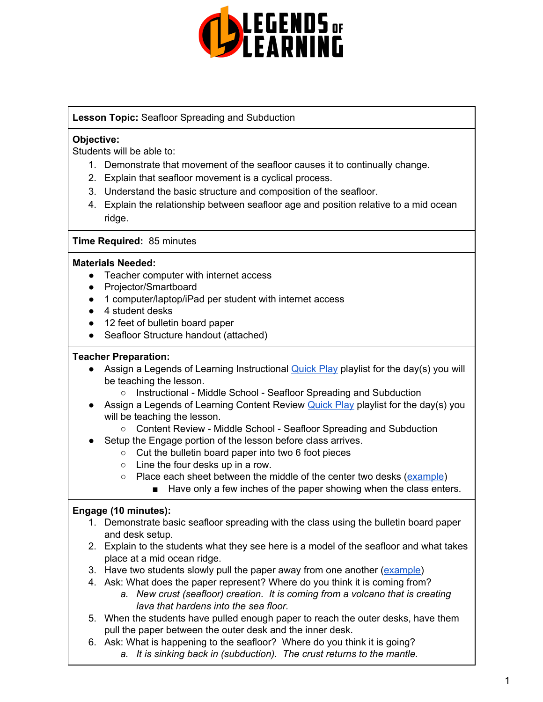

## **Lesson Topic:** Seafloor Spreading and Subduction

## **Objective:**

Students will be able to:

- 1. Demonstrate that movement of the seafloor causes it to continually change.
- 2. Explain that seafloor movement is a cyclical process.
- 3. Understand the basic structure and composition of the seafloor.
- 4. Explain the relationship between seafloor age and position relative to a mid ocean ridge.

## **Time Required:** 85 minutes

### **Materials Needed:**

- Teacher computer with internet access
- Projector/Smartboard
- 1 computer/laptop/iPad per student with internet access
- 4 student desks
- 12 feet of bulletin board paper
- Seafloor Structure handout (attached)

### **Teacher Preparation:**

- Assign a Legends of Learning Instructional [Quick](https://intercom.help/legends-of-learning/en/articles/2701866-assigning-a-quick-play-playlist) Play playlist for the day(s) you will be teaching the lesson.
	- Instructional Middle School Seafloor Spreading and Subduction
- Assign a Legends of Learning Content Review **[Quick](https://intercom.help/legends-of-learning/en/articles/2701866-assigning-a-quick-play-playlist) Play playlist for the day(s)** you will be teaching the lesson.
	- Content Review Middle School Seafloor Spreading and Subduction
- Setup the Engage portion of the lesson before class arrives.
	- Cut the bulletin board paper into two 6 foot pieces
	- $\circ$  Line the four desks up in a row.
	- Place each sheet between the middle of the center two desks [\(example\)](http://blogs.agu.org/magmacumlaude/files/2011/12/magnetic.jpg)
		- Have only a few inches of the paper showing when the class enters.

## **Engage (10 minutes):**

- 1. Demonstrate basic seafloor spreading with the class using the bulletin board paper and desk setup.
- 2. Explain to the students what they see here is a model of the seafloor and what takes place at a mid ocean ridge.
- 3. Have two students slowly pull the paper away from one another [\(example\)](http://blogs.agu.org/magmacumlaude/files/2011/12/magnetic.jpg)
- 4. Ask: What does the paper represent? Where do you think it is coming from?
	- *a. New crust (seafloor) creation. It is coming from a volcano that is creating lava that hardens into the sea floor.*
- 5. When the students have pulled enough paper to reach the outer desks, have them pull the paper between the outer desk and the inner desk.
- 6. Ask: What is happening to the seafloor? Where do you think it is going? *a. It is sinking back in (subduction). The crust returns to the mantle.*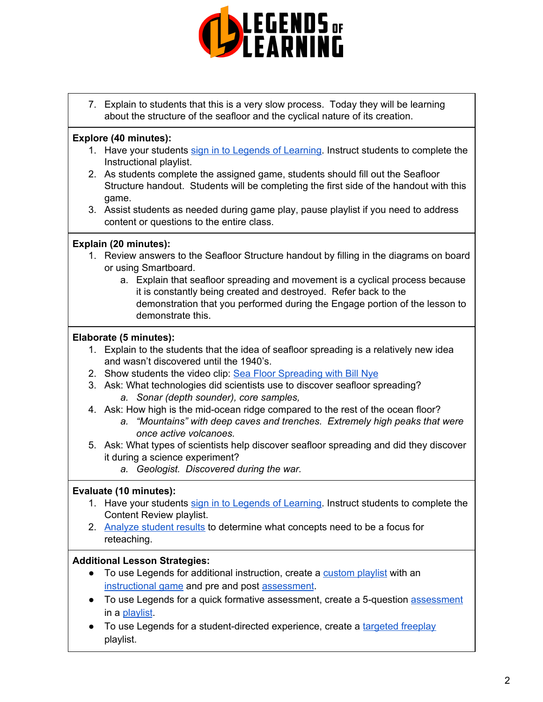

7. Explain to students that this is a very slow process. Today they will be learning about the structure of the seafloor and the cyclical nature of its creation.

## **Explore (40 minutes):**

- 1. Have your students sign in to Legends of [Learning.](https://intercom.help/legends-of-learning/en/articles/2154920-students-joining-a-playlist) Instruct students to complete the Instructional playlist.
- 2. As students complete the assigned game, students should fill out the Seafloor Structure handout. Students will be completing the first side of the handout with this game.
- 3. Assist students as needed during game play, pause playlist if you need to address content or questions to the entire class.

## **Explain (20 minutes):**

- 1. Review answers to the Seafloor Structure handout by filling in the diagrams on board or using Smartboard.
	- a. Explain that seafloor spreading and movement is a cyclical process because it is constantly being created and destroyed. Refer back to the demonstration that you performed during the Engage portion of the lesson to demonstrate this.

### **Elaborate (5 minutes):**

- 1. Explain to the students that the idea of seafloor spreading is a relatively new idea and wasn't discovered until the 1940's.
- 2. Show students the video clip: Sea Floor [Spreading](https://www.youtube.com/watch?v=GyMLlLxbfa4) with Bill Nye
- 3. Ask: What technologies did scientists use to discover seafloor spreading? *a. Sonar (depth sounder), core samples,*
- 4. Ask: How high is the mid-ocean ridge compared to the rest of the ocean floor?
	- *a. "Mountains" with deep caves and trenches. Extremely high peaks that were once active volcanoes.*
- 5. Ask: What types of scientists help discover seafloor spreading and did they discover it during a science experiment?
	- *a. Geologist. Discovered during the war.*

### **Evaluate (10 minutes):**

- 1. Have your students sign in to Legends of [Learning.](https://intercom.help/legends-of-learning/en/articles/2154920-students-joining-a-playlist) Instruct students to complete the Content Review playlist.
- 2. [Analyze](https://intercom.help/legends-of-learning/en/articles/2154918-tracking-student-progress-and-performance) student results to determine what concepts need to be a focus for reteaching.

### **Additional Lesson Strategies:**

- To use Legends for additional instruction, create a [custom](https://intercom.help/legends-of-learning/en/articles/2154910-creating-a-playlist) playlist with an [instructional](https://intercom.help/legends-of-learning/en/articles/3505828-types-of-games) game and pre and post [assessment](https://intercom.help/legends-of-learning/en/articles/2154913-adding-assessments-to-a-playlist).
- To use Legends for a quick formative [assessment](https://intercom.help/legends-of-learning/en/articles/2154913-adding-assessments-to-a-playlist), create a 5-question assessment in a [playlist](https://intercom.help/legends-of-learning/en/articles/2154910-creating-a-playlist).
- To use Legends for a student-directed experience, create a [targeted](https://intercom.help/legends-of-learning/en/articles/3340814-targeted-freeplay) freeplay playlist.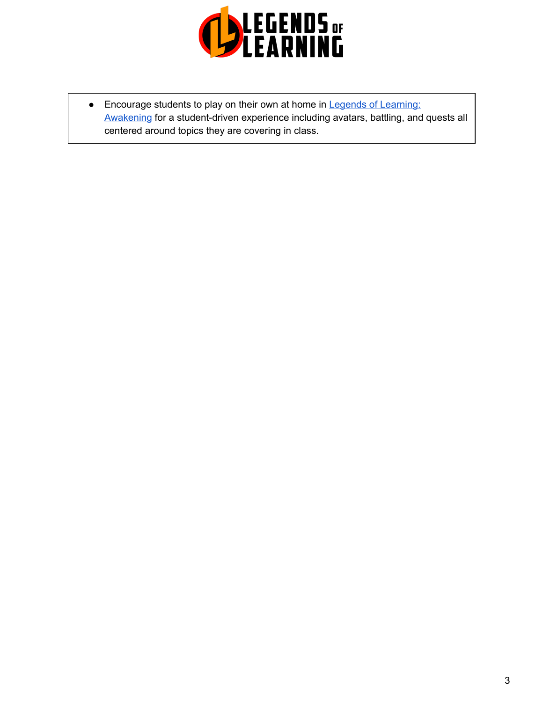

• Encourage students to play on their own at home in Legends of [Learning:](https://intercom.help/legends-of-learning/en/articles/2425490-legends-of-learning-awakening) [Awakening](https://intercom.help/legends-of-learning/en/articles/2425490-legends-of-learning-awakening) for a student-driven experience including avatars, battling, and quests all centered around topics they are covering in class.